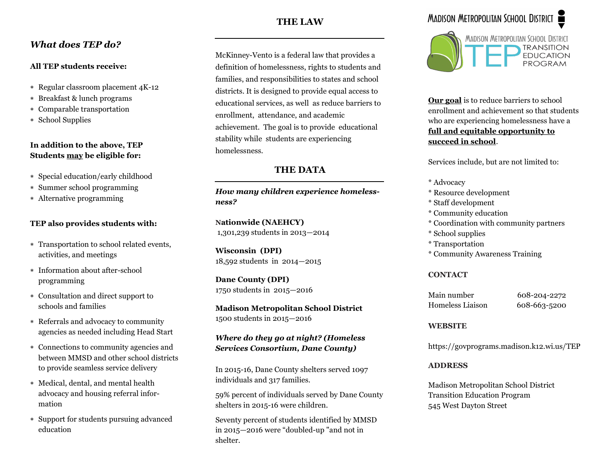## *What does TEP do?*

### **All TEP students receive:**

- Regular classroom placement 4K-12
- Breakfast & lunch programs
- Comparable transportation
- \* School Supplies

## **In addition to the above, TEP Students may be eligible for:**

- Special education/early childhood
- Summer school programming
- Alternative programming

## **TEP also provides students with:**

- Transportation to school related events, activities, and meetings
- Information about after-school programming
- Consultation and direct support to schools and families
- Referrals and advocacy to community agencies as needed including Head Start
- Connections to community agencies and between MMSD and other school districts to provide seamless service delivery
- Medical, dental, and mental health advocacy and housing referral information
- Support for students pursuing advanced education

# **THE LAW**

McKinney-Vento is a federal law that provides a definition of homelessness, rights to students and families, and responsibilities to states and school districts. It is designed to provide equal access to educational services, as well as reduce barriers to enrollment, attendance, and academic achievement. The goal is to provide educational stability while students are experiencing homelessness.

## **THE DATA**

*How many children experience homelessness?*

**Nationwide (NAEHCY)**  1,301,239 students in 2013—2014

**Wisconsin (DPI)** 18,592 students in 2014—2015

**Dane County (DPI)** 1750 students in 2015—2016

**Madison Metropolitan School District**  1500 students in 2015—2016

*Where do they go at night? (Homeless Services Consortium, Dane County)* 

In 2015-16, Dane County shelters served 1097 individuals and 317 families.

59% percent of individuals served by Dane County shelters in 2015-16 were children.

Seventy percent of students identified by MMSD in 2015—2016 were "doubled-up "and not in shelter.

# MADISON METROPOLITAN SCHOOL DISTRICT



**Our goal** is to reduce barriers to school enrollment and achievement so that students who are experiencing homelessness have a **full and equitable opportunity to succeed in school**.

Services include, but are not limited to:

- \* Advocacy
- \* Resource development
- \* Staff development
- \* Community education
- \* Coordination with community partners
- \* School supplies
- \* Transportation
- \* Community Awareness Training

### **CONTACT**

| Main number      | 608-204-2272 |
|------------------|--------------|
| Homeless Liaison | 608-663-5200 |

### **WEBSITE**

https://govprograms.madison.k12.wi.us/TEP

#### **ADDRESS**

Madison Metropolitan School District Transition Education Program 545 West Dayton Street